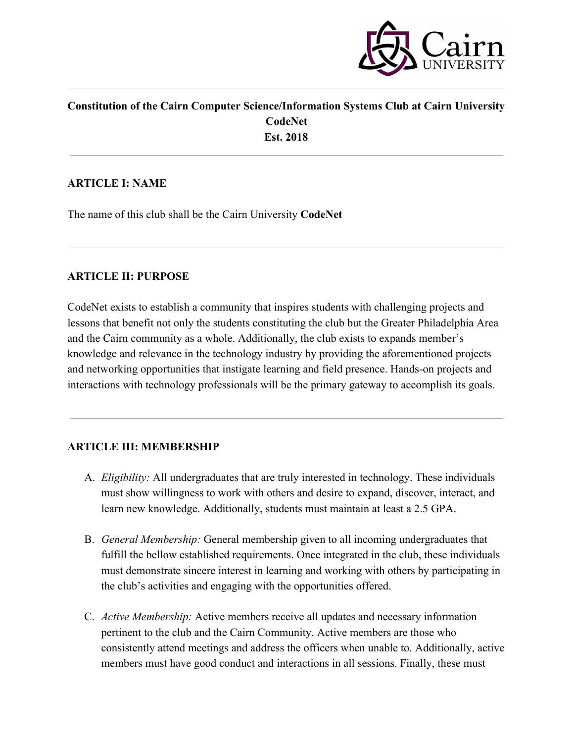

### **Constitution of the Cairn Computer Science/Information Systems Club at Cairn University CodeNet Est. 2018**

### **ARTICLE I: NAME**

The name of this club shall be the Cairn University **CodeNet**

### **ARTICLE II: PURPOSE**

CodeNet exists to establish a community that inspires students with challenging projects and lessons that benefit not only the students constituting the club but the Greater Philadelphia Area and the Cairn community as a whole. Additionally, the club exists to expands member's knowledge and relevance in the technology industry by providing the aforementioned projects and networking opportunities that instigate learning and field presence. Hands-on projects and interactions with technology professionals will be the primary gateway to accomplish its goals.

## **ARTICLE III: MEMBERSHIP**

- A. *Eligibility:* All undergraduates that are truly interested in technology. These individuals must show willingness to work with others and desire to expand, discover, interact, and learn new knowledge. Additionally, students must maintain at least a 2.5 GPA.
- B. *General Membership:* General membership given to all incoming undergraduates that fulfill the bellow established requirements. Once integrated in the club, these individuals must demonstrate sincere interest in learning and working with others by participating in the club's activities and engaging with the opportunities offered.
- C. *Active Membership:* Active members receive all updates and necessary information pertinent to the club and the Cairn Community. Active members are those who consistently attend meetings and address the officers when unable to. Additionally, active members must have good conduct and interactions in all sessions. Finally, these must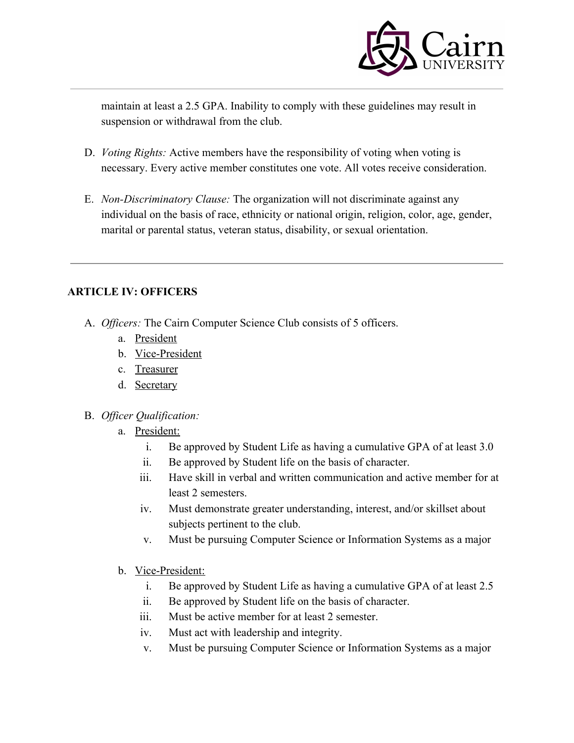

maintain at least a 2.5 GPA. Inability to comply with these guidelines may result in suspension or withdrawal from the club.

- D. *Voting Rights:* Active members have the responsibility of voting when voting is necessary. Every active member constitutes one vote. All votes receive consideration.
- E. *Non-Discriminatory Clause:* The organization will not discriminate against any individual on the basis of race, ethnicity or national origin, religion, color, age, gender, marital or parental status, veteran status, disability, or sexual orientation.

## **ARTICLE IV: OFFICERS**

- A. *Officers:* The Cairn Computer Science Club consists of 5 officers.
	- a. President
	- b. Vice-President
	- c. Treasurer
	- d. Secretary
- B. *Officer Qualification:*
	- a. President:
		- i. Be approved by Student Life as having a cumulative GPA of at least 3.0
		- ii. Be approved by Student life on the basis of character.
		- iii. Have skill in verbal and written communication and active member for at least 2 semesters.
		- iv. Must demonstrate greater understanding, interest, and/or skillset about subjects pertinent to the club.
		- v. Must be pursuing Computer Science or Information Systems as a major
	- b. Vice-President:
		- i. Be approved by Student Life as having a cumulative GPA of at least 2.5
		- ii. Be approved by Student life on the basis of character.
		- iii. Must be active member for at least 2 semester.
		- iv. Must act with leadership and integrity.
		- v. Must be pursuing Computer Science or Information Systems as a major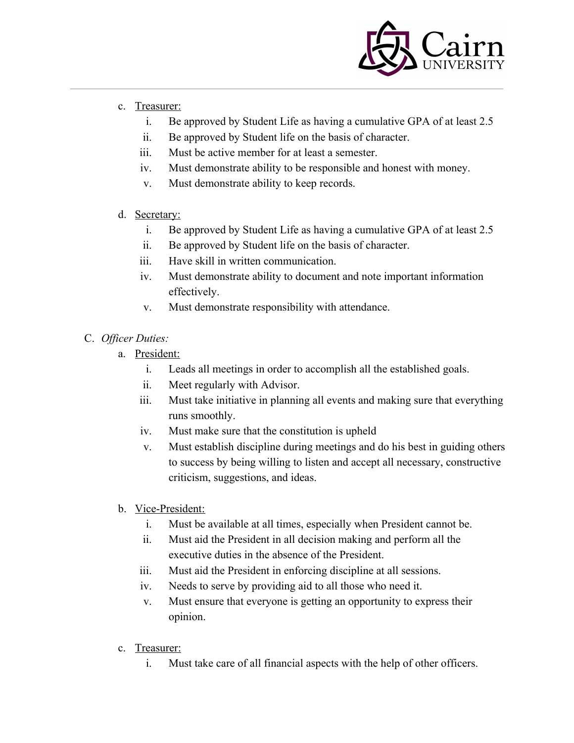

- c. Treasurer:
	- i. Be approved by Student Life as having a cumulative GPA of at least 2.5
	- ii. Be approved by Student life on the basis of character.
	- iii. Must be active member for at least a semester.
	- iv. Must demonstrate ability to be responsible and honest with money.
	- v. Must demonstrate ability to keep records.
- d. Secretary:
	- i. Be approved by Student Life as having a cumulative GPA of at least 2.5
	- ii. Be approved by Student life on the basis of character.
	- iii. Have skill in written communication.
	- iv. Must demonstrate ability to document and note important information effectively.
	- v. Must demonstrate responsibility with attendance.
- C. *Officer Duties:*
	- a. President:
		- i. Leads all meetings in order to accomplish all the established goals.
		- ii. Meet regularly with Advisor.
		- iii. Must take initiative in planning all events and making sure that everything runs smoothly.
		- iv. Must make sure that the constitution is upheld
		- v. Must establish discipline during meetings and do his best in guiding others to success by being willing to listen and accept all necessary, constructive criticism, suggestions, and ideas.
	- b. Vice-President:
		- i. Must be available at all times, especially when President cannot be.
		- ii. Must aid the President in all decision making and perform all the executive duties in the absence of the President.
		- iii. Must aid the President in enforcing discipline at all sessions.
		- iv. Needs to serve by providing aid to all those who need it.
		- v. Must ensure that everyone is getting an opportunity to express their opinion.
	- c. Treasurer:
		- i. Must take care of all financial aspects with the help of other officers.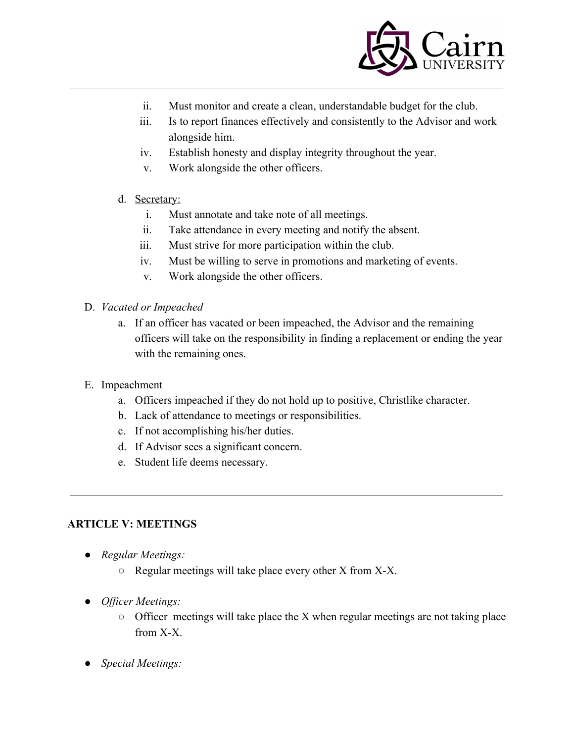

- ii. Must monitor and create a clean, understandable budget for the club.
- iii. Is to report finances effectively and consistently to the Advisor and work alongside him.
- iv. Establish honesty and display integrity throughout the year.
- v. Work alongside the other officers.
- d. Secretary:
	- i. Must annotate and take note of all meetings.
	- ii. Take attendance in every meeting and notify the absent.
	- iii. Must strive for more participation within the club.
	- iv. Must be willing to serve in promotions and marketing of events.
	- v. Work alongside the other officers.
- D. *Vacated or Impeached*
	- a. If an officer has vacated or been impeached, the Advisor and the remaining officers will take on the responsibility in finding a replacement or ending the year with the remaining ones.
- E. Impeachment
	- a. Officers impeached if they do not hold up to positive, Christlike character.
	- b. Lack of attendance to meetings or responsibilities.
	- c. If not accomplishing his/her duties.
	- d. If Advisor sees a significant concern.
	- e. Student life deems necessary.

#### **ARTICLE V: MEETINGS**

- *● Regular Meetings:*
	- Regular meetings will take place every other X from X-X.
- *● Officer Meetings:*
	- $\circ$  Officer meetings will take place the X when regular meetings are not taking place from X-X.
- *● Special Meetings:*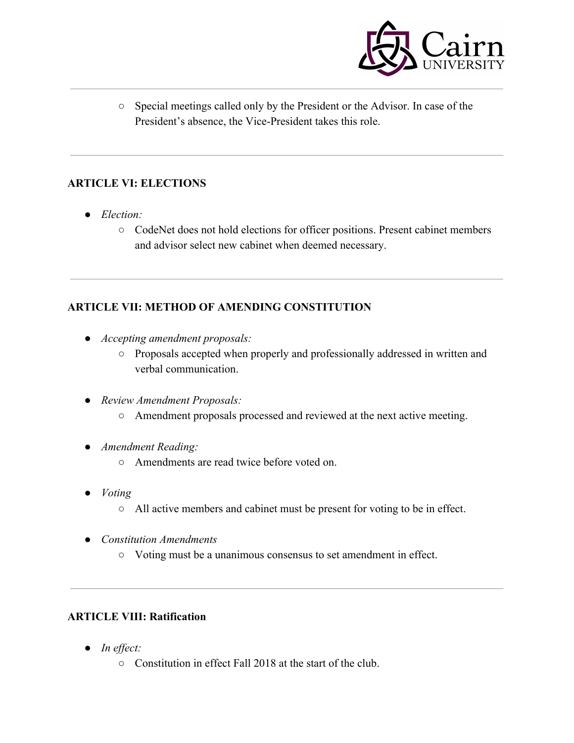

○ Special meetings called only by the President or the Advisor. In case of the President's absence, the Vice-President takes this role.

## **ARTICLE VI: ELECTIONS**

- *● Election:*
	- CodeNet does not hold elections for officer positions. Present cabinet members and advisor select new cabinet when deemed necessary.

# **ARTICLE VII: METHOD OF AMENDING CONSTITUTION**

- *● Accepting amendment proposals:*
	- Proposals accepted when properly and professionally addressed in written and verbal communication.
- *● Review Amendment Proposals:*
	- Amendment proposals processed and reviewed at the next active meeting.
- *● Amendment Reading:*
	- Amendments are read twice before voted on.
- *● Voting*
	- All active members and cabinet must be present for voting to be in effect.
- *● Constitution Amendments*
	- Voting must be a unanimous consensus to set amendment in effect.

## **ARTICLE VIII: Ratification**

- *● In effect:*
	- Constitution in effect Fall 2018 at the start of the club.